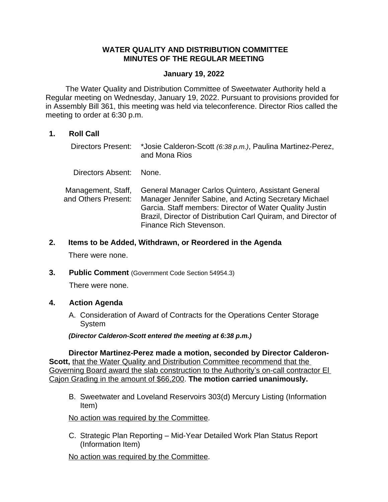## **WATER QUALITY AND DISTRIBUTION COMMITTEE MINUTES OF THE REGULAR MEETING**

#### **January 19, 2022**

The Water Quality and Distribution Committee of Sweetwater Authority held a Regular meeting on Wednesday, January 19, 2022. Pursuant to provisions provided for in Assembly Bill 361, this meeting was held via teleconference. Director Rios called the meeting to order at 6:30 p.m.

# **1. Roll Call**

Directors Present: \*Josie Calderon-Scott *(6:38 p.m.)*, Paulina Martinez-Perez, and Mona Rios

Directors Absent: None.

Management, Staff, and Others Present: General Manager Carlos Quintero, Assistant General Manager Jennifer Sabine, and Acting Secretary Michael Garcia. Staff members: Director of Water Quality Justin Brazil, Director of Distribution Carl Quiram, and Director of Finance Rich Stevenson.

**2. Items to be Added, Withdrawn, or Reordered in the Agenda**

There were none.

**3. Public Comment** (Government Code Section 54954.3)

There were none.

### **4. Action Agenda**

A. Consideration of Award of Contracts for the Operations Center Storage System

*(Director Calderon-Scott entered the meeting at 6:38 p.m.)*

**Director Martinez-Perez made a motion, seconded by Director Calderon-Scott, that the Water Quality and Distribution Committee recommend that the** Governing Board award the slab construction to the Authority's on-call contractor El Cajon Grading in the amount of \$66,200. **The motion carried unanimously.**

B. Sweetwater and Loveland Reservoirs 303(d) Mercury Listing (Information Item)

### No action was required by the Committee.

C. Strategic Plan Reporting – Mid-Year Detailed Work Plan Status Report (Information Item)

No action was required by the Committee.